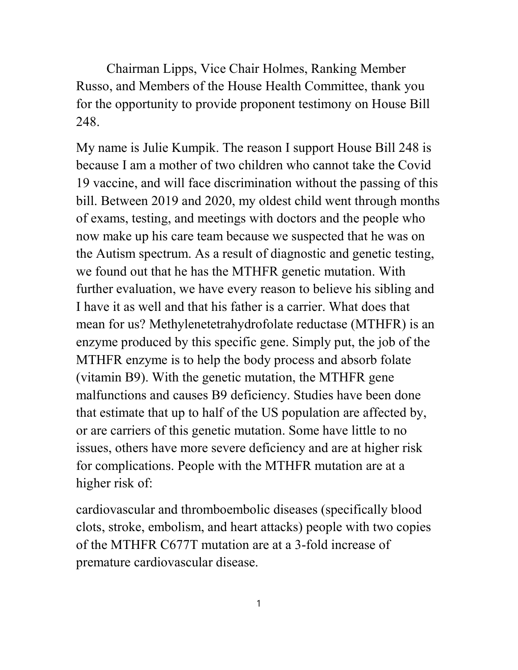Chairman Lipps, Vice Chair Holmes, Ranking Member Russo, and Members of the House Health Committee, thank you for the opportunity to provide proponent testimony on House Bill 248.

My name is Julie Kumpik. The reason I support House Bill 248 is because I am a mother of two children who cannot take the Covid 19 vaccine, and will face discrimination without the passing of this bill. Between 2019 and 2020, my oldest child went through months of exams, testing, and meetings with doctors and the people who now make up his care team because we suspected that he was on the Autism spectrum. As a result of diagnostic and genetic testing, we found out that he has the MTHFR genetic mutation. With further evaluation, we have every reason to believe his sibling and I have it as well and that his father is a carrier. What does that mean for us? Methylenetetrahydrofolate reductase (MTHFR) is an enzyme produced by this specific gene. Simply put, the job of the MTHFR enzyme is to help the body process and absorb folate (vitamin B9). With the genetic mutation, the MTHFR gene malfunctions and causes B9 deficiency. Studies have been done that estimate that up to half of the US population are affected by, or are carriers of this genetic mutation. Some have little to no issues, others have more severe deficiency and are at higher risk for complications. People with the MTHFR mutation are at a higher risk of:

cardiovascular and thromboembolic diseases (specifically blood clots, stroke, embolism, and heart attacks) people with two copies of the MTHFR C677T mutation are at a 3-fold increase of premature cardiovascular disease.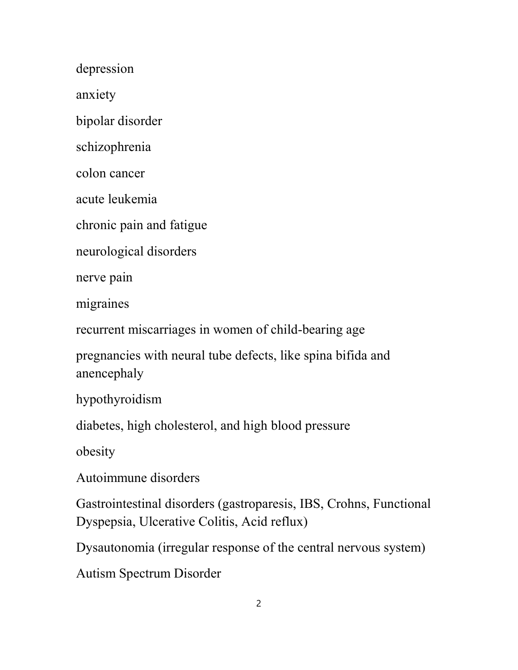depression

anxiety

bipolar disorder

schizophrenia

colon cancer

acute leukemia

chronic pain and fatigue

neurological disorders

nerve pain

migraines

recurrent miscarriages in women of child-bearing age

pregnancies with neural tube defects, like spina bifida and anencephaly

hypothyroidism

diabetes, high cholesterol, and high blood pressure

obesity

Autoimmune disorders

Gastrointestinal disorders (gastroparesis, IBS, Crohns, Functional Dyspepsia, Ulcerative Colitis, Acid reflux)

Dysautonomia (irregular response of the central nervous system)

Autism Spectrum Disorder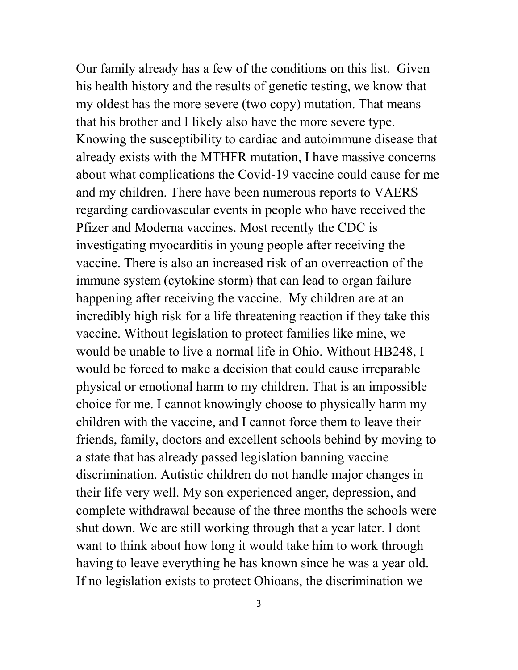Our family already has a few of the conditions on this list. Given his health history and the results of genetic testing, we know that my oldest has the more severe (two copy) mutation. That means that his brother and I likely also have the more severe type. Knowing the susceptibility to cardiac and autoimmune disease that already exists with the MTHFR mutation, I have massive concerns about what complications the Covid-19 vaccine could cause for me and my children. There have been numerous reports to VAERS regarding cardiovascular events in people who have received the Pfizer and Moderna vaccines. Most recently the CDC is investigating myocarditis in young people after receiving the vaccine. There is also an increased risk of an overreaction of the immune system (cytokine storm) that can lead to organ failure happening after receiving the vaccine. My children are at an incredibly high risk for a life threatening reaction if they take this vaccine. Without legislation to protect families like mine, we would be unable to live a normal life in Ohio. Without HB248, I would be forced to make a decision that could cause irreparable physical or emotional harm to my children. That is an impossible choice for me. I cannot knowingly choose to physically harm my children with the vaccine, and I cannot force them to leave their friends, family, doctors and excellent schools behind by moving to a state that has already passed legislation banning vaccine discrimination. Autistic children do not handle major changes in their life very well. My son experienced anger, depression, and complete withdrawal because of the three months the schools were shut down. We are still working through that a year later. I dont want to think about how long it would take him to work through having to leave everything he has known since he was a year old. If no legislation exists to protect Ohioans, the discrimination we